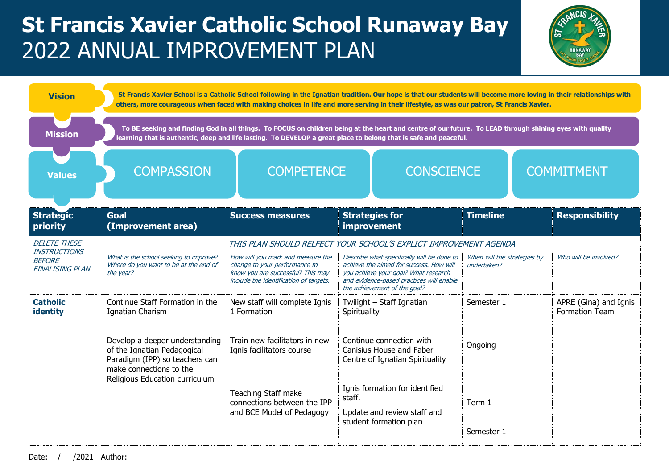## **St Francis Xavier Catholic School Runaway Bay** 2022 ANNUAL IMPROVEMENT PLAN



| <b>Vision</b>                                                  | St Francis Xavier School is a Catholic School following in the Ignatian tradition. Our hope is that our students will become more loving in their relationships with<br>others, more courageous when faced with making choices in life and more serving in their lifestyle, as was our patron, St Francis Xavier. |                                                                                                                                                   |                                                                                                                                                                                                           |                                            |                                                |  |
|----------------------------------------------------------------|-------------------------------------------------------------------------------------------------------------------------------------------------------------------------------------------------------------------------------------------------------------------------------------------------------------------|---------------------------------------------------------------------------------------------------------------------------------------------------|-----------------------------------------------------------------------------------------------------------------------------------------------------------------------------------------------------------|--------------------------------------------|------------------------------------------------|--|
| <b>Mission</b>                                                 | To BE seeking and finding God in all things. To FOCUS on children being at the heart and centre of our future. To LEAD through shining eyes with quality<br>learning that is authentic, deep and life lasting. To DEVELOP a great place to belong that is safe and peaceful.                                      |                                                                                                                                                   |                                                                                                                                                                                                           |                                            |                                                |  |
| <b>Values</b>                                                  | <b>COMPETENCE</b><br><b>COMPASSION</b>                                                                                                                                                                                                                                                                            |                                                                                                                                                   | <b>CONSCIENCE</b>                                                                                                                                                                                         | <b>COMMITMENT</b>                          |                                                |  |
| <b>Strategic</b><br>priority                                   | <b>Goal</b><br>(Improvement area)                                                                                                                                                                                                                                                                                 | <b>Success measures</b>                                                                                                                           | <b>Strategies for</b><br>improvement                                                                                                                                                                      | <b>Timeline</b>                            | <b>Responsibility</b>                          |  |
| <b>DELETE THESE</b>                                            | THIS PLAN SHOULD RELFECT YOUR SCHOOL'S EXPLICT IMPROVEMENT AGENDA                                                                                                                                                                                                                                                 |                                                                                                                                                   |                                                                                                                                                                                                           |                                            |                                                |  |
| <b>INSTRUCTIONS</b><br><b>BEFORE</b><br><b>FINALISING PLAN</b> | What is the school seeking to improve?<br>Where do you want to be at the end of<br>the year?                                                                                                                                                                                                                      | How will you mark and measure the<br>change to your performance to<br>know you are successful? This may<br>include the identification of targets. | Describe what specifically will be done to<br>achieve the aimed for success. How will<br>you achieve your goal? What research<br>and evidence-based practices will enable<br>the achievement of the goal? | When will the strategies by<br>undertaken? | Who will be involved?                          |  |
| <b>Catholic</b><br>identity                                    | Continue Staff Formation in the<br>Ignatian Charism                                                                                                                                                                                                                                                               | New staff will complete Ignis<br>1 Formation                                                                                                      | Twilight - Staff Ignatian<br>Spirituality                                                                                                                                                                 | Semester 1                                 | APRE (Gina) and Ignis<br><b>Formation Team</b> |  |
|                                                                | Develop a deeper understanding<br>of the Ignatian Pedagogical<br>Paradigm (IPP) so teachers can<br>make connections to the<br>Religious Education curriculum                                                                                                                                                      | Train new facilitators in new<br>Ignis facilitators course                                                                                        | Continue connection with<br>Canisius House and Faber<br>Centre of Ignatian Spirituality                                                                                                                   | Ongoing                                    |                                                |  |
|                                                                |                                                                                                                                                                                                                                                                                                                   | Teaching Staff make<br>connections between the IPP<br>and BCE Model of Pedagogy                                                                   | Ignis formation for identified<br>staff.<br>Update and review staff and<br>student formation plan                                                                                                         | Term 1                                     |                                                |  |
|                                                                |                                                                                                                                                                                                                                                                                                                   |                                                                                                                                                   |                                                                                                                                                                                                           | Semester 1                                 |                                                |  |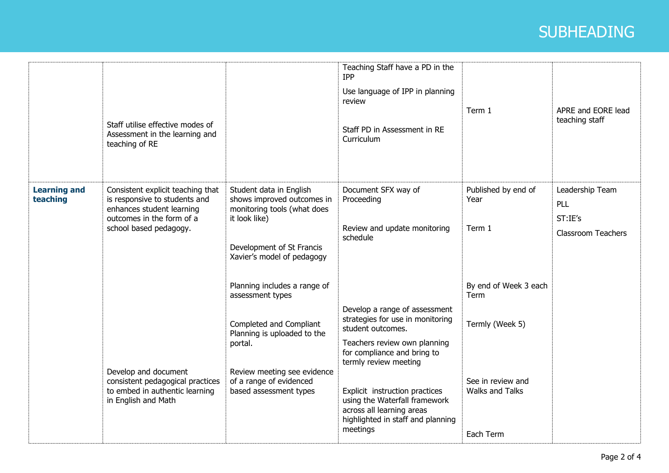## **Heading** SUBHEADING

|                                 | Staff utilise effective modes of<br>Assessment in the learning and<br>teaching of RE                                                                   |                                                                                                                                                                                                           | Teaching Staff have a PD in the<br>IPP<br>Use language of IPP in planning<br>review<br>Staff PD in Assessment in RE<br>Curriculum                                                                                                                                                                                   | Term 1                                                                                   | APRE and EORE lead<br>teaching staff                           |
|---------------------------------|--------------------------------------------------------------------------------------------------------------------------------------------------------|-----------------------------------------------------------------------------------------------------------------------------------------------------------------------------------------------------------|---------------------------------------------------------------------------------------------------------------------------------------------------------------------------------------------------------------------------------------------------------------------------------------------------------------------|------------------------------------------------------------------------------------------|----------------------------------------------------------------|
| <b>Learning and</b><br>teaching | Consistent explicit teaching that<br>is responsive to students and<br>enhances student learning<br>outcomes in the form of a<br>school based pedagogy. | Student data in English<br>shows improved outcomes in<br>monitoring tools (what does<br>it look like)<br>Development of St Francis<br>Xavier's model of pedagogy                                          | Document SFX way of<br>Proceeding<br>Review and update monitoring<br>schedule                                                                                                                                                                                                                                       | Published by end of<br>Year<br>Term 1                                                    | Leadership Team<br>PLL<br>ST:IE's<br><b>Classroom Teachers</b> |
|                                 | Develop and document<br>consistent pedagogical practices<br>to embed in authentic learning<br>in English and Math                                      | Planning includes a range of<br>assessment types<br>Completed and Compliant<br>Planning is uploaded to the<br>portal.<br>Review meeting see evidence<br>of a range of evidenced<br>based assessment types | Develop a range of assessment<br>strategies for use in monitoring<br>student outcomes.<br>Teachers review own planning<br>for compliance and bring to<br>termly review meeting<br>Explicit instruction practices<br>using the Waterfall framework<br>across all learning areas<br>highlighted in staff and planning | By end of Week 3 each<br>Term<br>Termly (Week 5)<br>See in review and<br>Walks and Talks |                                                                |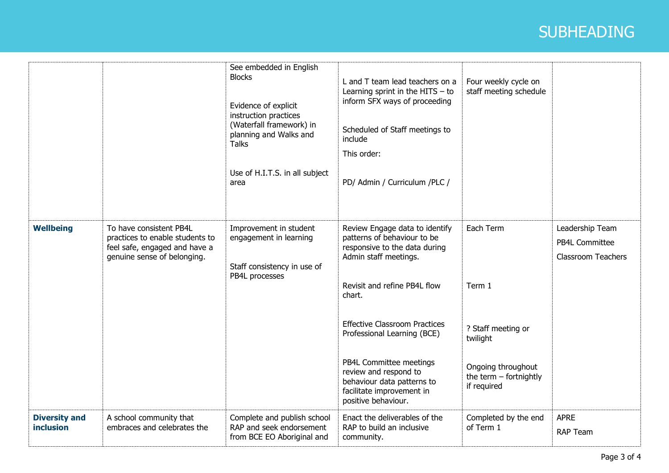## **Heading** SUBHEADING

|                                          |                                                                                                                            | See embedded in English<br><b>Blocks</b><br>Evidence of explicit<br>instruction practices<br>(Waterfall framework) in<br>planning and Walks and<br><b>Talks</b><br>Use of H.I.T.S. in all subject<br>area | L and T team lead teachers on a<br>Learning sprint in the HITS $-$ to<br>inform SFX ways of proceeding<br>Scheduled of Staff meetings to<br>include<br>This order:<br>PD/ Admin / Curriculum /PLC /                                                                                                                                                                            | Four weekly cycle on<br>staff meeting schedule                                                                         |                                                                |
|------------------------------------------|----------------------------------------------------------------------------------------------------------------------------|-----------------------------------------------------------------------------------------------------------------------------------------------------------------------------------------------------------|--------------------------------------------------------------------------------------------------------------------------------------------------------------------------------------------------------------------------------------------------------------------------------------------------------------------------------------------------------------------------------|------------------------------------------------------------------------------------------------------------------------|----------------------------------------------------------------|
| <b>Wellbeing</b>                         | To have consistent PB4L<br>practices to enable students to<br>feel safe, engaged and have a<br>genuine sense of belonging. | Improvement in student<br>engagement in learning<br>Staff consistency in use of<br>PB4L processes                                                                                                         | Review Engage data to identify<br>patterns of behaviour to be<br>responsive to the data during<br>Admin staff meetings.<br>Revisit and refine PB4L flow<br>chart.<br><b>Effective Classroom Practices</b><br>Professional Learning (BCE)<br>PB4L Committee meetings<br>review and respond to<br>behaviour data patterns to<br>facilitate improvement in<br>positive behaviour. | Each Term<br>Term 1<br>? Staff meeting or<br>twilight<br>Ongoing throughout<br>the term $-$ fortnightly<br>if required | Leadership Team<br>PB4L Committee<br><b>Classroom Teachers</b> |
| <b>Diversity and</b><br><b>inclusion</b> | A school community that<br>embraces and celebrates the                                                                     | Complete and publish school<br>RAP and seek endorsement<br>from BCE EO Aboriginal and                                                                                                                     | Enact the deliverables of the<br>RAP to build an inclusive<br>community.                                                                                                                                                                                                                                                                                                       | Completed by the end<br>of Term 1                                                                                      | <b>APRE</b><br><b>RAP Team</b>                                 |